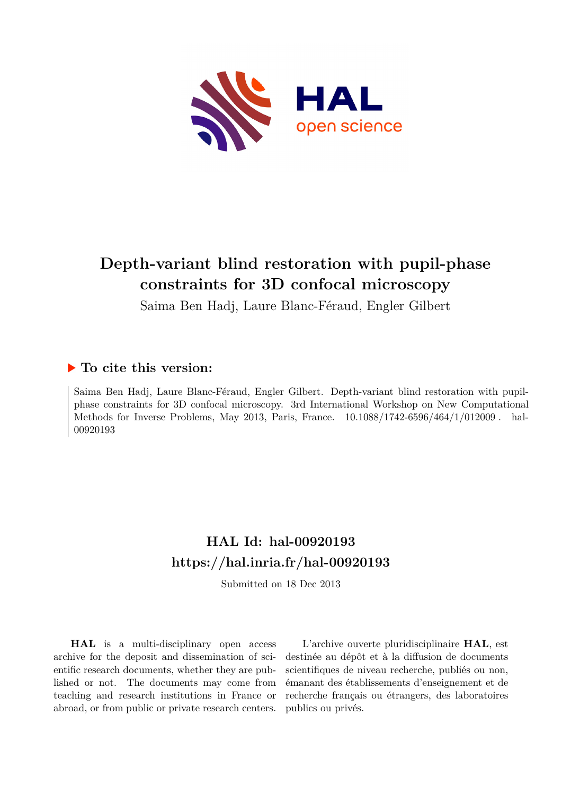

# **Depth-variant blind restoration with pupil-phase constraints for 3D confocal microscopy**

Saima Ben Hadj, Laure Blanc-Féraud, Engler Gilbert

### **To cite this version:**

Saima Ben Hadj, Laure Blanc-Féraud, Engler Gilbert. Depth-variant blind restoration with pupilphase constraints for 3D confocal microscopy. 3rd International Workshop on New Computational Methods for Inverse Problems, May 2013, Paris, France.  $10.1088/1742-6596/464/1/012009$ . hal-00920193ff

### **HAL Id: hal-00920193 <https://hal.inria.fr/hal-00920193>**

Submitted on 18 Dec 2013

**HAL** is a multi-disciplinary open access archive for the deposit and dissemination of scientific research documents, whether they are published or not. The documents may come from teaching and research institutions in France or abroad, or from public or private research centers.

L'archive ouverte pluridisciplinaire **HAL**, est destinée au dépôt et à la diffusion de documents scientifiques de niveau recherche, publiés ou non, émanant des établissements d'enseignement et de recherche français ou étrangers, des laboratoires publics ou privés.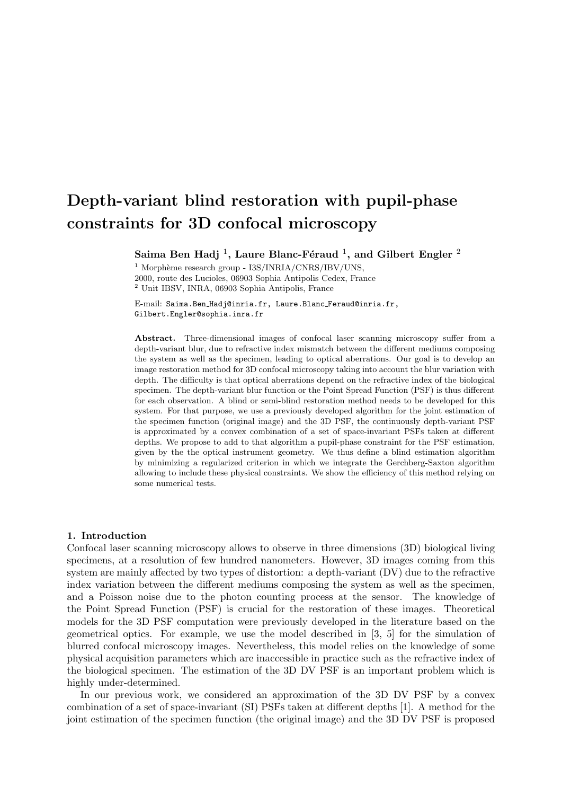## Depth-variant blind restoration with pupil-phase constraints for 3D confocal microscopy

Saima Ben Hadj <sup>1</sup>, Laure Blanc-Féraud <sup>1</sup>, and Gilbert Engler <sup>2</sup>

 $1$  Morphème research group - I3S/INRIA/CNRS/IBV/UNS, 2000, route des Lucioles, 06903 Sophia Antipolis Cedex, France  $^{\rm 2}$ Unit IBSV, INRA, 06903<br> Sophia Antipolis, France

E-mail: Saima.Ben Hadj@inria.fr, Laure.Blanc Feraud@inria.fr, Gilbert.Engler@sophia.inra.fr

Abstract. Three-dimensional images of confocal laser scanning microscopy suffer from a depth-variant blur, due to refractive index mismatch between the different mediums composing the system as well as the specimen, leading to optical aberrations. Our goal is to develop an image restoration method for 3D confocal microscopy taking into account the blur variation with depth. The difficulty is that optical aberrations depend on the refractive index of the biological specimen. The depth-variant blur function or the Point Spread Function (PSF) is thus different for each observation. A blind or semi-blind restoration method needs to be developed for this system. For that purpose, we use a previously developed algorithm for the joint estimation of the specimen function (original image) and the 3D PSF, the continuously depth-variant PSF is approximated by a convex combination of a set of space-invariant PSFs taken at different depths. We propose to add to that algorithm a pupil-phase constraint for the PSF estimation, given by the the optical instrument geometry. We thus define a blind estimation algorithm by minimizing a regularized criterion in which we integrate the Gerchberg-Saxton algorithm allowing to include these physical constraints. We show the efficiency of this method relying on some numerical tests.

#### 1. Introduction

Confocal laser scanning microscopy allows to observe in three dimensions (3D) biological living specimens, at a resolution of few hundred nanometers. However, 3D images coming from this system are mainly affected by two types of distortion: a depth-variant (DV) due to the refractive index variation between the different mediums composing the system as well as the specimen, and a Poisson noise due to the photon counting process at the sensor. The knowledge of the Point Spread Function (PSF) is crucial for the restoration of these images. Theoretical models for the 3D PSF computation were previously developed in the literature based on the geometrical optics. For example, we use the model described in [3, 5] for the simulation of blurred confocal microscopy images. Nevertheless, this model relies on the knowledge of some physical acquisition parameters which are inaccessible in practice such as the refractive index of the biological specimen. The estimation of the 3D DV PSF is an important problem which is highly under-determined.

In our previous work, we considered an approximation of the 3D DV PSF by a convex combination of a set of space-invariant (SI) PSFs taken at different depths [1]. A method for the joint estimation of the specimen function (the original image) and the 3D DV PSF is proposed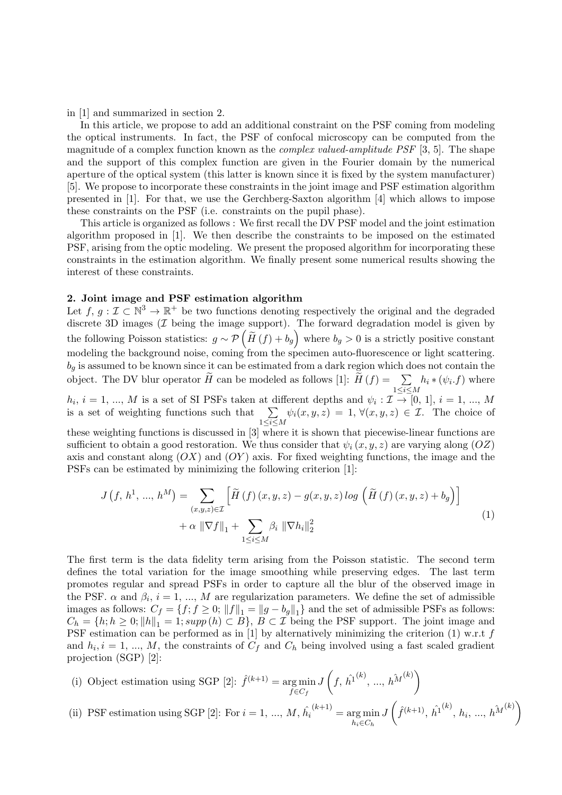in [1] and summarized in section 2.

In this article, we propose to add an additional constraint on the PSF coming from modeling the optical instruments. In fact, the PSF of confocal microscopy can be computed from the magnitude of a complex function known as the complex valued-amplitude PSF [3, 5]. The shape and the support of this complex function are given in the Fourier domain by the numerical aperture of the optical system (this latter is known since it is fixed by the system manufacturer) [5]. We propose to incorporate these constraints in the joint image and PSF estimation algorithm presented in [1]. For that, we use the Gerchberg-Saxton algorithm [4] which allows to impose these constraints on the PSF (i.e. constraints on the pupil phase).

This article is organized as follows : We first recall the DV PSF model and the joint estimation algorithm proposed in [1]. We then describe the constraints to be imposed on the estimated PSF, arising from the optic modeling. We present the proposed algorithm for incorporating these constraints in the estimation algorithm. We finally present some numerical results showing the interest of these constraints.

#### 2. Joint image and PSF estimation algorithm

Let  $f, g: \mathcal{I} \subset \mathbb{N}^3 \to \mathbb{R}^+$  be two functions denoting respectively the original and the degraded discrete 3D images  $(\mathcal{I}$  being the image support). The forward degradation model is given by the following Poisson statistics:  $g \sim \mathcal{P}(\widetilde{H}(f) + b_g)$  where  $b_g > 0$  is a strictly positive constant modeling the background noise, coming from the specimen auto-fluorescence or light scattering.  $b_q$  is assumed to be known since it can be estimated from a dark region which does not contain the object. The DV blur operator  $\widetilde{H}$  can be modeled as follows [1]:  $\widetilde{H}(f) = \sum_{1 \leq i \leq M}$  $h_i * (\psi_i.f)$  where

 $h_i$ ,  $i = 1, ..., M$  is a set of SI PSFs taken at different depths and  $\psi_i : \mathcal{I} \to [0, 1], i = 1, ..., M$ is a set of weighting functions such that  $\sum$  $1\leq i \leq M$  $\psi_i(x, y, z) = 1, \forall (x, y, z) \in \mathcal{I}$ . The choice of

these weighting functions is discussed in [3] where it is shown that piecewise-linear functions are sufficient to obtain a good restoration. We thus consider that  $\psi_i(x, y, z)$  are varying along  $(OZ)$ axis and constant along  $(OX)$  and  $(OY)$  axis. For fixed weighting functions, the image and the PSFs can be estimated by minimizing the following criterion [1]:

$$
J(f, h1, ..., hM) = \sum_{(x,y,z)\in\mathcal{I}} \left[ \widetilde{H}(f)(x,y,z) - g(x,y,z) \log \left( \widetilde{H}(f)(x,y,z) + b_g \right) \right] + \alpha \|\nabla f\|_1 + \sum_{1 \le i \le M} \beta_i \|\nabla h_i\|_2^2
$$
 (1)

The first term is the data fidelity term arising from the Poisson statistic. The second term defines the total variation for the image smoothing while preserving edges. The last term promotes regular and spread PSFs in order to capture all the blur of the observed image in the PSF.  $\alpha$  and  $\beta_i$ ,  $i = 1, ..., M$  are regularization parameters. We define the set of admissible images as follows:  $C_f = \{f; f \geq 0; ||f||_1 = ||g - b_g||_1\}$  and the set of admissible PSFs as follows:  $C_h = \{h; h \geq 0; ||h||_1 = 1; supp(h) \subset B\}, B \subset \mathcal{I}$  being the PSF support. The joint image and PSF estimation can be performed as in [1] by alternatively minimizing the criterion (1) w.r.t  $f$ and  $h_i, i = 1, ..., M$ , the constraints of  $C_f$  and  $C_h$  being involved using a fast scaled gradient projection (SGP) [2]:

- (i) Object estimation using SGP [2]:  $\hat{f}^{(k+1)} = \arg \min$  $f \in C_f$ J  $\left(f, \hat{h}^{1^{(k)}}, ..., h^{M^{(k)}}\right)$
- (ii) PSF estimation using SGP [2]: For  $i = 1, ..., M, \hat{h}_i$  $\binom{k+1}{ }$  = arg min  $h_i \in C_h$ J  $\left(\hat{f}^{(k+1)}, \hat{h_1}^{(k)}, h_i, ..., h^{\hat{M}}^{(k)}\right)$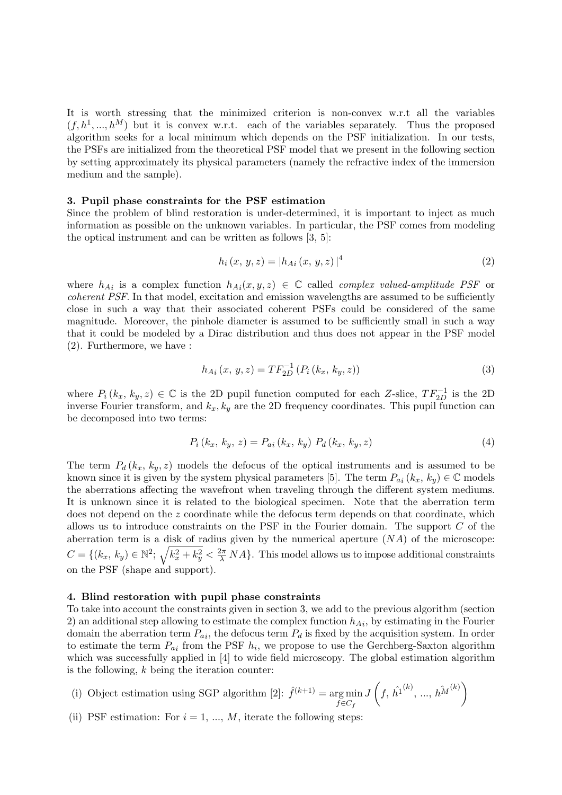It is worth stressing that the minimized criterion is non-convex w.r.t all the variables  $(f, h^1, ..., h^M)$  but it is convex w.r.t. each of the variables separately. Thus the proposed algorithm seeks for a local minimum which depends on the PSF initialization. In our tests, the PSFs are initialized from the theoretical PSF model that we present in the following section by setting approximately its physical parameters (namely the refractive index of the immersion medium and the sample).

#### 3. Pupil phase constraints for the PSF estimation

Since the problem of blind restoration is under-determined, it is important to inject as much information as possible on the unknown variables. In particular, the PSF comes from modeling the optical instrument and can be written as follows [3, 5]:

$$
h_i(x, y, z) = |h_{Ai}(x, y, z)|^4
$$
\n(2)

where  $h_{Ai}$  is a complex function  $h_{Ai}(x, y, z) \in \mathbb{C}$  called *complex valued-amplitude PSF* or coherent PSF. In that model, excitation and emission wavelengths are assumed to be sufficiently close in such a way that their associated coherent PSFs could be considered of the same magnitude. Moreover, the pinhole diameter is assumed to be sufficiently small in such a way that it could be modeled by a Dirac distribution and thus does not appear in the PSF model (2). Furthermore, we have :

$$
h_{Ai}(x, y, z) = TF_{2D}^{-1} (P_i (k_x, k_y, z))
$$
\n(3)

where  $P_i(k_x, k_y, z) \in \mathbb{C}$  is the 2D pupil function computed for each Z-slice,  $TF_{2D}^{-1}$  is the 2D inverse Fourier transform, and  $k_x, k_y$  are the 2D frequency coordinates. This pupil function can be decomposed into two terms:

$$
P_i(k_x, k_y, z) = P_{ai}(k_x, k_y) P_d(k_x, k_y, z)
$$
\n(4)

The term  $P_d(k_x, k_y, z)$  models the defocus of the optical instruments and is assumed to be known since it is given by the system physical parameters [5]. The term  $P_{ai}(k_x, k_y) \in \mathbb{C}$  models the aberrations affecting the wavefront when traveling through the different system mediums. It is unknown since it is related to the biological specimen. Note that the aberration term does not depend on the z coordinate while the defocus term depends on that coordinate, which allows us to introduce constraints on the PSF in the Fourier domain. The support  $C$  of the aberration term is a disk of radius given by the numerical aperture  $(NA)$  of the microscope:  $C = \{(k_x, k_y) \in \mathbb{N}^2; \sqrt{k_x^2 + k_y^2} < \frac{2\pi}{\lambda} NA\}$ . This model allows us to impose additional constraints on the PSF (shape and support).

#### 4. Blind restoration with pupil phase constraints

To take into account the constraints given in section 3, we add to the previous algorithm (section 2) an additional step allowing to estimate the complex function  $h_{Ai}$ , by estimating in the Fourier domain the aberration term  $P_{ai}$ , the defocus term  $P_d$  is fixed by the acquisition system. In order to estimate the term  $P_{ai}$  from the PSF  $h_i$ , we propose to use the Gerchberg-Saxton algorithm which was successfully applied in [4] to wide field microscopy. The global estimation algorithm is the following,  $k$  being the iteration counter:

- (i) Object estimation using SGP algorithm [2]:  $\hat{f}^{(k+1)} = \arg \min$  $f \in C_f$ J  $\left(f, \hat{h}^{1^{(k)}}, ..., h^{M^{(k)}}\right)$
- (ii) PSF estimation: For  $i = 1, ..., M$ , iterate the following steps: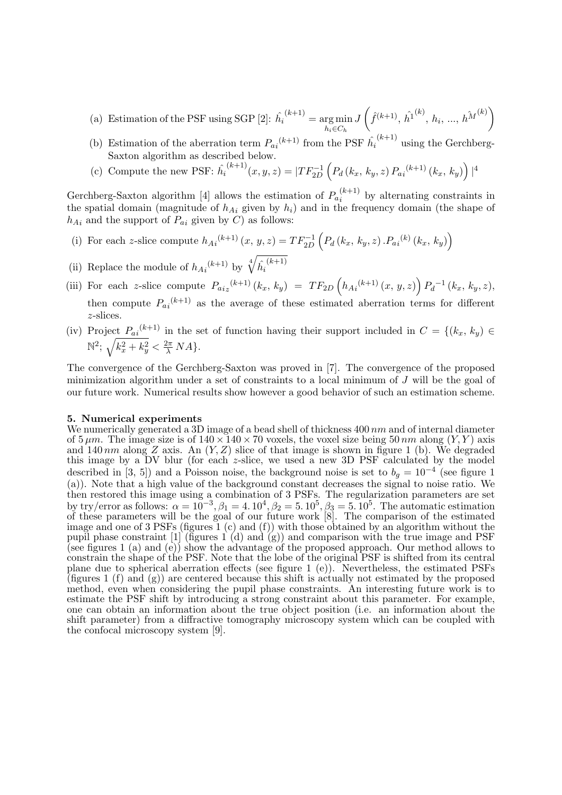- (a) Estimation of the PSF using SGP [2]:  $\hat{h}_i$  $\binom{k+1}{ }$  = arg min  $h_i \in C_h$ J  $\left(\hat{f}^{(k+1)}, \hat{h}^{1^{(k)}}, h_i, ..., h^{\hat{M}^{(k)}}\right)$
- (b) Estimation of the aberration term  $P_{ai}^{(k+1)}$  from the PSF  $\hat{h_i}^{(k+1)}$  using the Gerchberg-Saxton algorithm as described below.
- (c) Compute the new PSF:  $\hat{h_i}^{(k+1)}(x, y, z) = |TF_{2D}^{-1}|$  $\left( P_d (k_x, k_y, z) P_{a_i}^{(k+1)} (k_x, k_y) \right) |^4$

Gerchberg-Saxton algorithm [4] allows the estimation of  $P_{a_i}^{(k+1)}$  $i^{(k+1)}$  by alternating constraints in the spatial domain (magnitude of  $h_{Ai}$  given by  $h_i$ ) and in the frequency domain (the shape of  $h_{Ai}$  and the support of  $P_{ai}$  given by C) as follows:

- (i) For each z-slice compute  $h_{Ai}^{(k+1)}(x, y, z) = TF_{2D}^{-1}$  $\left( P_d \left( k_x, k_y, z \right) . P_{ai}^{\ \ (k)} \left( k_x, k_y \right) \right)$
- (ii) Replace the module of  $h_{Ai}^{(k+1)}$  by  $\sqrt[4]{\hat{h}_i}$  $(k+1)$
- (iii) For each z-slice compute  $P_{aiz}^{(k+1)}(k_x, k_y) = TF_{2D}(h_{Ai}^{(k+1)}(x, y, z)) P_d^{-1}(k_x, k_y, z),$ then compute  $P_{ai}^{(k+1)}$  as the average of these estimated aberration terms for different z-slices.
- (iv) Project  $P_{ai}^{(k+1)}$  in the set of function having their support included in  $C = \{(k_x, k_y) \in$  $\mathbb{N}^2$ ;  $\sqrt{k_x^2 + k_y^2} < \frac{2\pi}{\lambda} NA$ .

The convergence of the Gerchberg-Saxton was proved in [7]. The convergence of the proposed minimization algorithm under a set of constraints to a local minimum of J will be the goal of our future work. Numerical results show however a good behavior of such an estimation scheme.

#### 5. Numerical experiments

We numerically generated a 3D image of a bead shell of thickness 400 nm and of internal diameter of  $5 \mu m$ . The image size is of  $140 \times 140 \times 70$  voxels, the voxel size being  $50 \, nm$  along  $(Y, Y)$  axis of  $5 \mu m$ . The image size is of  $140 \times 140 \times 70$  voxels, the voxel size being  $50 \, nm$  along  $(Y, Y)$  axis and 140 nm along Z axis. An  $(Y, Z)$  slice of that image is shown in figure 1 (b). We degraded this image by a DV blur (for each z-slice, we used a new 3D PSF calculated by the model described in [3, 5]) and a Poisson noise, the background noise is set to  $b_g = 10^{-4}$  (see figure 1 (a)). Note that a high value of the background constant decreases the signal to noise ratio. We then restored this image using a combination of 3 PSFs. The regularization parameters are set by try/error as follows:  $\alpha = 10^{-3}$ ,  $\beta_1 = 4.10^4$ ,  $\beta_2 = 5.10^5$ ,  $\beta_3 = 5.10^5$ . The automatic estimation of these parameters will be the goal of our future work [8]. The comparison of the estimated image and one of 3 PSFs (figures 1 (c) and (f)) with those obtained by an algorithm without the pupil phase constraint [1] (figures 1 (d) and (g)) and comparison with the true image and PSF (see figures 1 (a) and (e)) show the advantage of the proposed approach. Our method allows to constrain the shape of the PSF. Note that the lobe of the original PSF is shifted from its central plane due to spherical aberration effects (see figure 1 (e)). Nevertheless, the estimated PSFs (figures 1  $(f)$  and  $(g)$ ) are centered because this shift is actually not estimated by the proposed method, even when considering the pupil phase constraints. An interesting future work is to estimate the PSF shift by introducing a strong constraint about this parameter. For example, one can obtain an information about the true object position (i.e. an information about the shift parameter) from a diffractive tomography microscopy system which can be coupled with the confocal microscopy system [9].